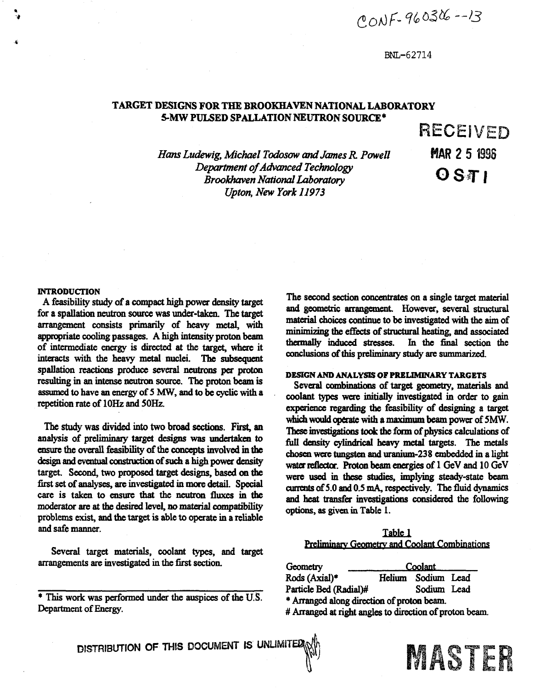$\mathcal{C}$ ONF-96029

#### **BNL-62714**

# **TARGET DESIGNS FOR THE BROOKHAVEN NATIONAL LABORATORY 5-MW PULSED SPALLATION NEUTRON SOURCE\***

*Hans Ludewig, Michael Todosow and James R Powell Department of Advanced Technology Brookhaven National Laboratory Upton, New York 11973* 

**RECEIVED MAR 2 5 1996** OSTI

#### **INTRODUCTION**

**A feasibility study of a compact high power density target for a spallation neutron source was under-taken. The target arrangement consists primarily of heavy metal, with appropriate cooling passages. A high intensity' proton beam of intermediate energy is directed at the target, where it interacts with the heavy metal nuclei. The subsequent spallation reactions produce several neutrons per proton resulting in an intense neutron source. The proton beam is assumed to have an energy of 5 MW, and to be cyclic with a repetition rate of lOHz and 50Hz.** 

**The study was divided into two broad sections. First, an analysis of preliminary target designs was undertaken to ensure the overall feasibility of the concepts involved in the design and eventual construction of such a high power density target. Second, two proposed target designs, based on the first set of analyses, are investigated in more detail. Special care is taken to ensure that the neutron fluxes in the moderator are at the desired level, no material compatibility problems exist, and the target is able to operate in a reliable and safe manner.** 

**Several target materials, coolant types, and target arrangements are investigated in the first section.** 

**The second section concentrates on a single target material**  and geometric arrangement. However, several structural **material choices continue to be investigated with the aim of minimizing the effects of structural heating, and associated thermally induced stresses. In the final section the conclusions of this preliminary study are summarized.** 

#### **DESIGN AND ANALYSIS OF PRELIMINARY TARGETS**

**Several combinations of target geometry, materials and coolant types were initially investigated in order to gain experience regarding the feasibility of designing a target which would operate with a maximum beam power of 5MW. These investigations took the form of physics calculations of full density cylindrical heavy metal targets. The metals chosen were tungsten and uranium-238 embedded in a light water reflector. Proton beam energies of 1 GeV and 10 GeV were used in these studies, implying steady-state beam currents of 5.0 and 0.5 mA, respectively. The fluid dynamics and heat transfer investigations considered the following options, as given in Table 1.** 

| Table 1                                              |
|------------------------------------------------------|
| <b>Preliminary Geometry and Coolant Combinations</b> |

**Geometry Rods (Axial)\***  Coolant **Helium Sodium Lead Particle Bed (Radial)# \* Arranged along direction of proton beam. # Arranged at right angles to direction of proton beam** 



**<sup>\*</sup> This work was performed under the auspices of the U.S. Department of Energy.**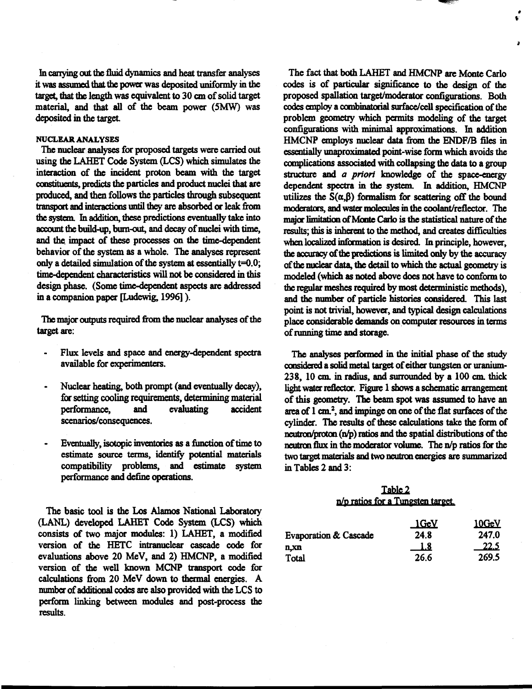**In carrying out the fluid dynamics and heat transfer analyses it was assumed that the power was deposited uniformly in the target, that the length was equivalent to 30 cm of solid target material, and that all of the beam power (5MW) was**  deposited in the target.

## **NUCLEAR ANALYSES**

**The nuclear analyses for proposed targets were carried out using the LAHET Code System (LCS) which simulates the interaction of the incident proton beam with the target constituents, predicts the particles and product nuclei that are produced, and then follows the particles through subsequent transport and interactions until they are absorbed or leak from the system. In addition, these predictions eventually take into account the build-up, bum-out, and decay of nuclei with time,**  and the impact of these processes on the time-dependent **behavior of the system as a whole. The analyses represent only a detailed simulation of the system at essentially t=0.0; time-dependent characteristics will not be considered in this design phase. (Some time-dependent aspects are addressed in a companion paper [Ludewig, 1996]).** 

**The major outputs required from the nuclear analyses of the target are:** 

- **Flux levels and space and energy-dependent spectra available for experimenters.**
- **Nuclear heating, both prompt (and eventually decay), for setting cooling requirements, detennining material performance, and evaluating accident scenarios/consequences.**
- **Eventually, isotopic inventories as a function of time to estimate source terms, identify potential materials compatibility problems, and estimate system performance and define operations.**

**The basic tool is the Los Alamos National Laboratory (LANL) developed LAHET Code System (LCS) which consists of two major modules: 1) LAHET, a modified version of the HETC intranuclear cascade code for evaluations above 20 MeV, and 2) HMCNP, a modified version of the well known MCNP transport code for calculations from 20 MeV down to thermal energies. A number of additional codes are also provided with the LCS to perform linking between modules and post-process the results.** 

**The fact that both LAHET and HMCNP are Monte Carlo codes is of particular significance to the design of the proposed spallation target/moderator configurations. Both codes employ a combinatorial surface/cell specification of the problem geometry which permits modeling of the target**  configurations with minimal approximations. In addition **HMCNP employs nuclear data from the ENDF/B files in essentially unaproximated point-wise form which avoids the complications associated with collapsing the data to a group structure and** *a priori* **knowledge of the space-energy dependent spectra in the system. In addition, HMCNP**  utilizes the  $S(\alpha, \beta)$  formalism for scattering off the bound **moderators, and water molecules in the coolant/reflector. The major limitation of Monte Carlo is the statistical nature of the results; mis is inherent to the method, and creates difficulties when localized information is desired. In principle, however, the accuracy of the predictions is limited only by the accuracy of the nuclear data, the detail to which the actual geometry is modeled (which as noted above does not have to conform to the regular meshes required by most deterministic methods), and the number of particle histories considered. This last point is not trivial, however, and typical design calculations place considerable demands on computer resources in terms of running time and storage.** 

*\** 

**The analyses performed in the initial phase of the study considered a solid metal target of either tungsten or uranium-238, 10 cm in radius, and surrounded by a 100 cm thick light water reflector. Figure 1 shows a schematic arrangement of this geometry. The beam spot was assumed to have an area of 1 cm<sup>2</sup> , and impinge on one of the flat surfaces of the cylinder. The results of these calculations take the form of neutron/proton (n/p) ratios and the spatial distributions of the neutron flux in the moderator volume. The n/p ratios for the two target materials and two neutron energies are summarized in Tables 2 and 3:** 

# **Iabje\_2 p/p ratios for a Tungsten target,**

|                                  | 1 GeV      | <u>10GeV</u> |
|----------------------------------|------------|--------------|
| <b>Evaporation &amp; Cascade</b> | 24.8       | 247.0        |
| n.xn                             | <u>1.8</u> | <u> 22.5</u> |
| Total                            | 26.6       | 269.5        |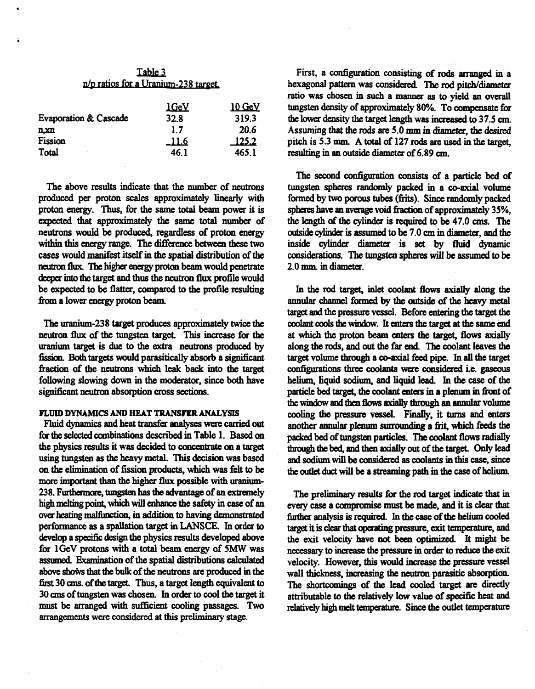| Table 3                              |
|--------------------------------------|
| n/p ratios for a Uranium-238 target. |

| <b>Evaporation &amp; Cascade</b> | <u>1GeV</u><br>32.8 | <u> 10 GeV</u><br>319.3 |
|----------------------------------|---------------------|-------------------------|
| n.xn                             | 17                  | 20.6                    |
| Fission                          | _11.6               | <u>125.2</u>            |
| Total                            | 46.1                | 465.1                   |

**The above results indicate that the number of neutrons produced per proton scales approximately linearly with proton energy. Thus, for the same total beam power it is expected mat approximately the same total number of neutrons would be produced, regardless of proton energy within this energy range. The difference between these two cases would manifest itself in the spatial distribution of the neutron flux. The higher energy proton beam would penetrate deeper into the target and thus the neutron flux profile would be expected to be flatter, compared to the profile resulting from a lower energy proton beam.** 

**The uranium-238 target produces approximately twice the neutron flux of the tungsten target This increase for the uranium target is due to the extra neutrons produced by fission. Both targets would parasitically absorb a significant fraction of the neutrons which leak back into the target following slowing down in the moderator, since both have significant neutron absorption cross sections.** 

# **FLUID DYNAMICS AND HEAT TRANSFER ANALYSIS**

**Fluid dynamics and heat transfer analyses were carried out for the selected combinations described in Table 1. Based on the physics results it was decided to concentrate on a target using tungsten as the heavy metal. This decision was based on the elimination of fission products, which was felt to be more important than the higher flux possible with uranium-238. Furthermore, tungsten has the advantage of an extremely high melting point, which will enhance the safety in case of an over heating malfunction, in addition to having demonstrated performance as a spallation target in LANSCE. In order to develop a specific design the physics results developed above for lGeV protons with a total beam energy of 5MW was assumed Examination of the spatial distributions calculated above shows that the bulk of the neutrons are produced in the**  first 30 cms. of the target. Thus, a target length equivalent to **30 cms of tungsten was chosen. In order to cool the target it must be arranged with sufficient cooling passages. Two arrangements were considered at this preliminary stage.** 

**First, a configuration consisting of rods arranged in a hexagonal pattern was considered. The rod pitch/diameter ratio was chosen in such a manner as to yield an overall tungsten density of approximately 80%. To compensate for the lower density the target length was increased to 37.5 cm Assuming that the rods are 5.0 mm in diameter, the desired pitch is 5.3 nun. A total of 127 rods are used in the target, resulting in an outside diameter of 6.89 cm.** 

**The second configuration consists of a particle bed of tungsten spheres randomly packed in a co-axial volume formed by two porous tubes (frits). Since randomly packed**  spheres have an average void fraction of approximately 35%, **the length of the cylinder is required to be 47.0 cms. The outside cylinder is assumed to be 7.0 cm in diameter, and the inside cylinder diameter is set by fluid dynamic considerations. The tungsten spheres will be assumed to be 2.0 mm. in diameter.** 

**In the rod target, inlet coolant flows axially along the annular channel formed by the outside of the heavy metal target and the pressure vessel. Before entering the target the coolant cools the window. It enters the target at the same end at which the proton beam enters the target, flows axially along the rods, and out the far end. The coolant leaves the target volume through a co-axial feed pipe. In all the target configurations three coolants were considered i.e. gaseous helium, liquid sodium, and liquid lead. In the case of the particle bed target the coolant enters in a plenum in front of**  the window and then flows axially through an annular volume **cooling the pressure vessel. Finally, it turns and enters**  another annular plenum surrounding a frit, which feeds the **packed bed of tungsten particles. The coolant flows radially**  through the bed, and then axially out of the target. Only lead **and sodium will be considered as coolants in this case, since the outlet duct will be a streaming path in the case of helium** 

**The preliminary results for the rod target indicate that in every case a compromise must be made, and it is clear that further analysis is required, m the case of the helium cooled target it is clear that operating pressure, exit temperature, and the exit velocity have not been optimized. It might be necessary to increase the pressure in order to reduce the exit velocity. However, this would increase the pressure vessel wall thickness, increasing the neutron parasitic absorption. The shortcomings of the lead cooled target are directly attributable to the relatively low value of specific heat and relatively high melt temperature. Since the outlet temperature**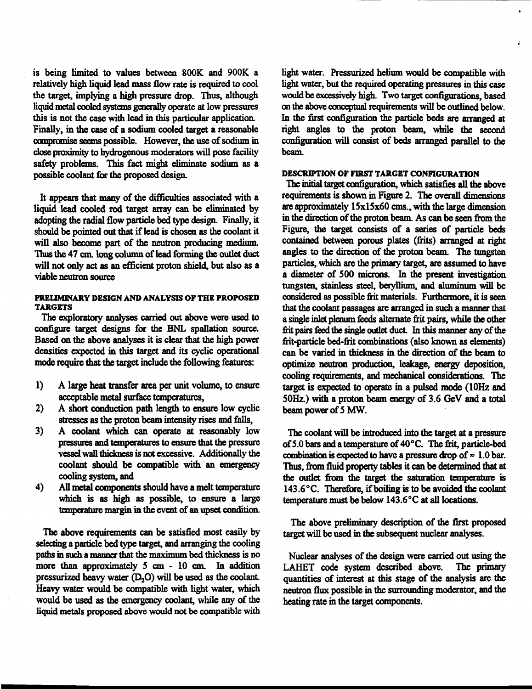**is being limited to values between 800K and 900K a relatively high liquid lead mass flow rate is required to cool the target, implying a high pressure drop. Thus, although liquid metal cooled systems generally operate at low pressures this is not the case with lead in this particular application. Finally, in the case of a sodium cooled target a reasonable compromise seems possible. However, the use of sodium in close proximity to hydrogenous moderators will pose facility safety problems. This fact might eliminate sodium as a possible coolant for the proposed design.** 

**It appears that many of the difficulties associated with a liquid lead cooled rod target array can be eliminated by adopting the radial flow particle bed type design. Finally, it should be pointed out that if lead is chosen as the coolant it will also become part of the neutron producing medium. Thus the 47 cm. long column of lead forming the outlet duct will not only act as an efficient proton shield, but also as a viable neutron source** 

## **PRELIMINARY DESIGN AND ANALYSIS OF THE PROPOSED TARGETS**

**The exploratory analyses carried out above were used to configure target designs for the BNL spallation source. Based on the above analyses it is clear that the high power densities expected in this target and its cyclic operational mode require that the target include the following features:** 

- **1) A large heat transfer area per unit volume, to ensure acceptable metal surface temperatures,**
- **2) A short conduction path length to ensure low cyclic stresses as the proton beam intensity rises and falls,**
- **3) A coolant which can operate at reasonably low pressures and temperatures to ensure that the pressure vessel wall thickness is not excessive. Additionally the coolant should be compatible with an emergency cooling system, and**
- **4) All metal components should have a melt temperature which is as high as possible, to ensure a large temperature margin in the event of an upset condition.**

**The above requirements can be satisfied most easily by selecting a particle bed type target, and arranging the cooling**  paths in such a manner that the maximum bed thickness is no **more than approximately 5 cm - 10 cm. In addition pressurized heavy water (D<sup>2</sup> 0) will be used as the coolant Heavy water would be compatible with light water, which would be used as the emergency coolant, while any of the liquid metals proposed above would not be compatible with**  **light water. Pressurized helium would be compatible with light water, but the required operating pressures in this case would be excessively high. Two target configurations, based on the above conceptual requirements will be outlined below. In the first configuration the particle beds are arranged at right angles to the proton beam, while the second configuration will consist of beds arranged parallel to the beam.** 

ă.

## **DESCRIPTION OF FIRST TARGET CONFIGURATION**

**The initial target configuration, which satisfies all the above requirements is shown in Figure 2. The overall dimensions are approximately 15x15x60 cms., with the large dimension in the direction of the proton beam. As can be seen from the Figure, the target consists of a series of particle beds contained between porous plates (frits) arranged at right angles to the direction of the proton beam. The tungsten particles, which are the primary target, are assumed to have a diameter of 500 microns. In the present investigation tungsten, stainless steel, beryllium, and aluminum will be considered as possible frit materials. Furthermore, it is seen that the coolant passages are arranged in such a manner that a single inlet plenum feeds alternate frit pairs, while the other frit pairs feed the single outlet duct In this manner any of the frit-particle bed-frit combinations (also known as elements) can be varied in thickness in the direction of the beam to optimize neutron production, leakage, energy deposition, cooling requirements, and mechanical considerations. The target is expected to operate in a pulsed mode (10Hz and 50Hz.) with a proton beam energy of 3.6 GeV and a total beam power of 5 MW.** 

**The coolant will be introduced into the target at a pressure of5.0 bars and a temperature of 40°C. The frit, particle-bed**  combination is expected to have a pressure drop of  $\approx 1.0$  bar. **Thus, from fluid property tables it can be determined that at the outlet from the target the saturation temperature is 143.6°C. Therefore, if boiling is to be avoided the coolant temperature must be below 143.6 °C at all locations.** 

**The above preliminary description of the first proposed target will be used in the subsequent nuclear analyses.** 

**Nuclear analyses of the design were carried out using the LAHET code system described above. The primary quantities of interest at this stage of the analysis are the neutron flux possible in the surrounding moderator, and the heating rate in the target components.**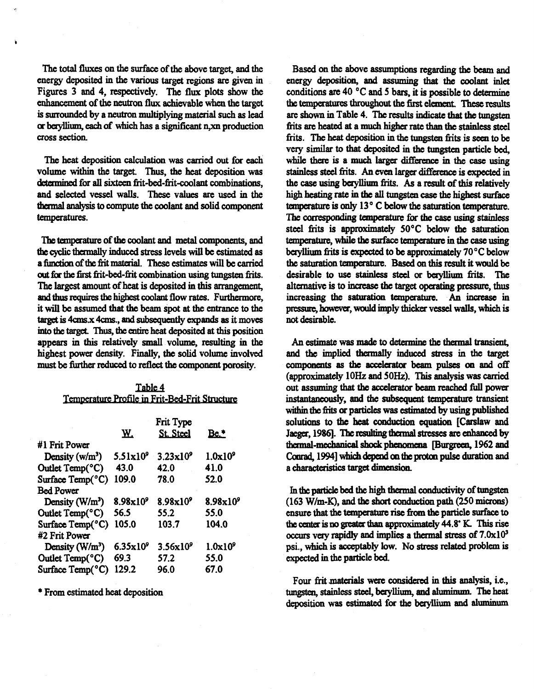**The total fluxes on the surface of the above target, and the energy deposited in the various target regions are given in Figures 3 and 4, respectively. The flux plots show the enhancement of the neutron flux achievable when the target is surrounded by a neutron multiplying material such as lead or beryllium, each of which has a significant n,xn production cross sectioa** 

**The heat deposition calculation was carried out for each**  volume within the target. Thus, the heat deposition was **determined for all sixteen frit-bed-frit-coolant combinations, and selected vessel walls. These values are used in the thermal analysis to compute the coolant and solid component temperatures.** 

**The temperature of the coolant and metal components, and the cyclic thermally induced stress levels will be estimated as a function ofthefiit material. These estimates will be carried out for the first frit-bed-frit combination using tungsten frits. The largest amount of heat is deposited in this arrangement, and thus requires the highest coolant flow rates. Furthermore, it will be assumed that the beam spot at the entrance to the target is 4cms.x 4cms., and subsequently expands as it moves into the target Thus, the entire heat deposited at this position appears in this relatively small volume, resulting in the highest power density. Finally, the solid volume involved must be further reduced to reflect the conmonent porosity.** 

**Table 4** 

| Temperature Profile in Frit-Bed-Frit Structure |                      |                    |                      |
|------------------------------------------------|----------------------|--------------------|----------------------|
|                                                | Frit Type            |                    |                      |
|                                                | Ж.                   | St. Steel          | Be.*                 |
| #1 Frit Power                                  |                      |                    |                      |
| Density $(w/m^3)$                              | $5.51x10^9$          | $3.23 \times 10^9$ | 1.0x10 <sup>9</sup>  |
| Outlet Temp(°C)                                | 43.0                 | 42.0               | 41.0                 |
| Surface Temp(°C)                               | 109.0                | 78.0               | 52.0                 |
| <b>Bed Power</b>                               |                      |                    |                      |
| Density (W/m <sup>3</sup> )                    | 8.98x10 <sup>9</sup> | $8.98x10^9$        | 8.98x10 <sup>9</sup> |
| Outlet Temp(°C)                                | 56.5                 | 55.2               | 55.0                 |
| Surface Temp(°C)                               | 105.0                | 103.7              | 104.0                |
| #2 Frit Power                                  |                      |                    |                      |
| Density $(W/m^3)$                              | $6.35 \times 10^{9}$ | $3.56x10^9$        | 1.0x10 <sup>9</sup>  |
| Outlet Temp(°C)                                | 69.3                 | 57.2               | 55.0                 |
| Surface Temp(°C)                               | 129.2                | 96.0               | 67.0                 |

**\* From estimated heat deposition** 

**Based on the above assumptions regarding the beam and energy deposition, and assuming that the coolant inlet conditions are 40 °C and 5 bars, it is possible to determine**  the temperatures throughout the first element. These results **are shown in Table 4. The results indicate that the tungsten frits are heated at a much higher rate than the stainless steel frits. The heat deposition in the tungsten frits is seen to be very similar to that deposited in the tungsten particle bed, while there is a much larger difference in the case using stainless steel frits. An even larger difference is expected in**  the case using beryllium frits. As a result of this relatively **high heating rate in the all tungsten case the highest surface temperature is only 13 ° C below the saturation temperature. The corresponding temperature for the case using stainless steel frits is approximately 50°C below the saturation temperature, while the surface temperature in the case using beryllium frits is expected to be approximately 70°C below the saturation temperature. Based on this result it would be desirable to use stainless steel or beryllium frits. The alternative is to increase the target operating pressure, thus increasing the saturation temperature. An increase in pressure, however, would imply thicker vessel walls, which is not desirable.** 

**An estimate was made to determine the thermal transient, and the implied thermally induced stress in the target components as the accelerator beam pulses on and off (approximately 10Hz and 50Hz). This analysis was carried out assuming that the accelerator beam reached full power instantaneously, and the subsequent temperature transient within the frits or particles was estimated by using published solutions to the heat conduction equation [Carslaw and Jaeger, 1986]. The resulting thermal stresses are enhanced by thermal-mechanical shock phenomena [Burgreen, 1962 and Conrad, 1994] which depend on the proton pulse duration and a characteristics target dimension.** 

**In die particle bed the high thermal conductivity of tungsten (163 W/m-K), and the short conduction path (250 microns) ensure that the temperature rise from the particle surface to the center is no greater than approximately 44.8\* K. This rise occurs very rapidly and implies a thermal stress of 7.0x10<sup>s</sup> psi., which is acceptably low. No stress related problem is expected in the particle bed.** 

**Four frit materials were considered in this analysis, i.e., tungsten, stainless steel, beryllium, and aluminum. The heat deposition was estimated for the beryllium and aluminum**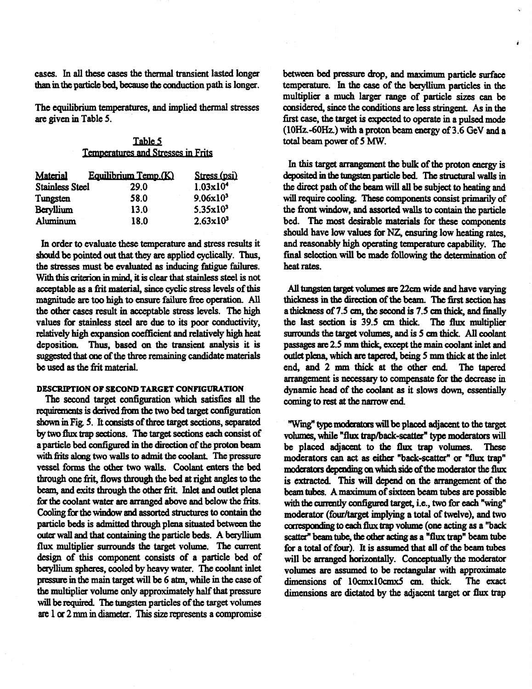**cases, hi all these cases the thermal transient lasted longer than in the particle bed, because the conduction path is longer.** 

**The equilibrium temperatures, and implied thermal stresses are given in Table 5.** 

| Table 5                            |  |  |
|------------------------------------|--|--|
| Temperatures and Stresses in Frits |  |  |

| Material               | Equilibrium Temp.(K) | Stress (psi)         |
|------------------------|----------------------|----------------------|
| <b>Stainless Steel</b> | 29.0                 | $1.03 \times 10^4$   |
| Tungsten               | 58.0                 | 9.06x10 <sup>3</sup> |
| <b>Beryllium</b>       | 13.0                 | $5.35 \times 10^3$   |
| Aluminum               | 18.0                 | $2.63 \times 10^3$   |

**In order to evaluate these temperature and stress results it should be pointed out that they are applied cyclically. Thus, the stresses must be evaluated as inducing fatigue failures. With this criterion in mind, it is clear that stainless steel is not acceptable as a frit material, since cyclic stress levels of this magnitude are too high to ensure failure free operation. All the other cases result in acceptable stress levels. The high values for stainless steel are due to its poor conductivity, relatively high expansion coefficient and relatively high heat deposition. Thus, based on the transient analysis it is suggested mat one of the three remaining candidate materials be used as the frit material.** 

### **DESCRIPTION OF SECOND TARGET CONFIGURATION**

**The second target configuration which satisfies all the requirements is derived from the two bed target configuration shown in Fig. 5. It consists of three target sections, separated by two flux trap sections. The target sections each consist of a particle bed configured in the direction of the proton beam**  with frits along two walls to admit the coolant. The pressure **vessel forms the other two walls. Coolant enters the bed through one frit, flows through the bed at right angles to the**  beam, and exits through the other frit. Inlet and outlet plena **for the coolant water are arranged above and below the frits. Cooling for the window and assorted structures to contain the particle beds is admitted through plena situated between the outer wall and that containing the particle beds. A beryllium flux multiplier surrounds the target volume. The current design of this component consists of a particle bed of beryllium spheres, cooled by heavy water. The coolant inlet pressure in the main target will be 6 atm, while in the case of the multiplier volume only approximately half that pressure will be required. The tungsten particles of the target volumes**  are 1 or 2 mm in diameter. This size represents a compromise

**between bed pressure drop, and m^vinnim particle surface temperature, hi the case of the beryllium particles in the multiplier a much larger range of particle sizes can be**  considered, since the conditions are less stringent. As in the **first case, the target is expected to operate in a pulsed mode (10Hz.-60Hz.) with a proton beam energy of 3.6 GeV and a total beam power of 5 MW.** 

**In this target arrangement the bulk of the proton energy is deposited in the tungsten particle bed. The structural walls in the direct path of the beam will all be subject to heating and will require cooling. These components consist primarily of the front window, and assorted walls to contain the particle bed. The most desirable materials for these components should have low values for NZ, ensuring low heating rates, and reasonably high operating temperature capability. The final selection will be made following the determination of heat rates.** 

**All tungsten target volumes are 22cm wide and have varying thickness in the direction of the beam. The first section has a thickness of 7.5 cm, the second is 7.5 cm thick, and finally the last section is 39.5 cm thick. The flux multiplier surrounds the target volumes, and is 5 cm thick. All coolant passages are 2.5 mm thick, except the main coolant inlet and outlet plena, which are tapered, being 5 mm thick at the inlet end, and 2 mm thick at the other end. The tapered arrangement is necessary to compensate for the decrease in dynamic head of the coolant as it slows down, essentially coming to rest at the narrow end.** 

**"Wing" type moderators will be placed adjacent to the target volumes, while "flux trap/back-scatter" type moderators will be placed adjacent to the flux trap volumes. These moderators can act as either "back-scatter" or "flux trap" moderators depending on which side of the moderator the flux is extracted. This will depend on die arrangement of the beam tubes. A maximum of sixteen beam tubes are possible with the currently configured target, i.e., two for each "wing" moderator (four/target implying a total of twelve), and two corresponding to each flux trap volume (one acting as a "back scatter" beam tube, the other acting as a "flux trap" beam tube for a total of four). It is assumed that all of the beam tubes will be arranged horizontally. Conceptually the moderator volumes are assumed to be rectangular with approximate dimensions of lOcmxlOcmxS cm. thick The exact dimensions are dictated by the adjacent target or flux trap**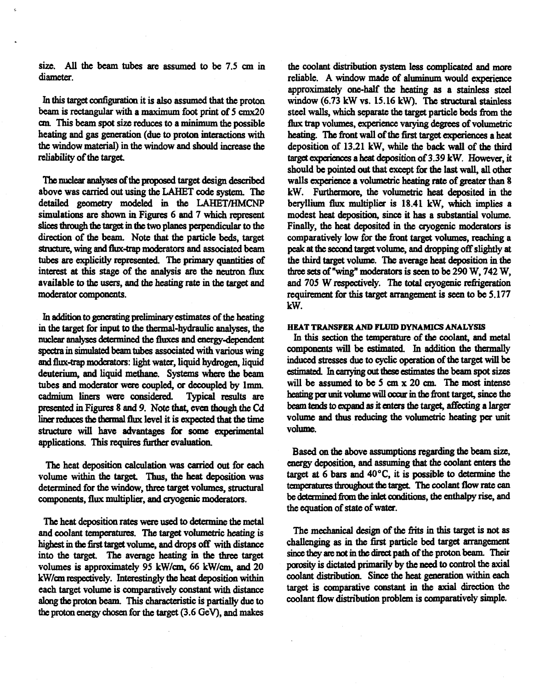**size. All the beam tubes are assumed to be 7.5 cm in diameter.** 

**In this target configuration it is also assumed that the proton beam is rectangular with a maximum foot print of 5 cmx20 cm. This beam spot size reduces to a minimum the possible heating and gas generation (due to proton interactions with the window material) in the window and should increase the**  reliability of the target.

**The nuclear analyses of the proposed target design described above was carried out using the LAHET code system. The detailed geometry modeled in the LAHET/HMCNP simulations are shown in Figures 6 and 7 which represent slices through the target in the two planes perpendicular to the direction of the beam. Note that the particle beds, target structure, wing and flux-trap moderators and associated beam**  tubes are explicitly represented. The primary quantities of **interest at this stage of the analysis are the neutron flux available to the users, and the heating rate in the target and moderator components.** 

**In addition to generating preliminary estimates of the heating in the target for input to the thermal-hydraulic analyses, the nuclear anaryses determined the fluxes and energy-dependent spectra in simulated beam tubes associated with various wing and flux-trap moderators: light water, liquid hydrogen, liquid deuterium, and liquid methane. Systems where the beam**  tubes and moderator were coupled, or decoupled by 1mm. cadmium liners were considered. Typical results are cadmium liners were considered. **presented in Figures 8 and 9. Note that, even though the Cd liner reduces the thermal flux level it is expected that the time structure will have advantages for some experimental applications. This requires further evaluation.** 

**The heat deposition calculation was carried out for each volume within the target Thus, the heat deposition was determined for the window, three target volumes, structural components, flux multiplier, and cryogenic moderators.** 

**The heat deposition rates were used to determine the metal and coolant temperatures. The target volumetric heating is highest in the first target volume, and drops off with distance**  into the target. The average heating in the three target **volumes is approximately 95 kW/cm, 66 kW/cm, and 20 kW/cm respectively. Interestingly the heat deposition within each target volume is comparatively constant with distance along the proton beam. This characteristic is partially due to the proton energy chosen for the target (3.6 GeV), and makes** 

**the coolant distribution system less complicated and more reliable. A window made of aluminum would experience approximately one-half the heating as a stainless steel window (6.73 kW vs. 15.16 kW). The structural stainless steel walls, which separate the target particle beds from the flux trap volumes, experience varying degrees of volumetric heating. The front wall of the first target experiences a heat deposition of 13.21 kW, while the back wall of the third target experiences a heat deposition of 3.39 kW. However, it**  should be pointed out that except for the last wall, all other **walls experience a volumetric heating rate of greater than 8 kW. Furthermore, the volumetric heat deposited in the beryllium flux multiplier is 18.41 kW, which implies a modest heat deposition, since it has a substantial volume. Finally, the heat deposited in the cryogenic moderators is comparatively low for the front target volumes, reaching a**  peak at the second target volume, and dropping off slightly at **the third target volume. The average heat deposition in the three sets of "wing" moderators is seen to be 290 W, 742 W, and 705 W respectively. The total cryogenic refrigeration requirement for this target arrangement is seen to be 5.177 kW.** 

#### **HEAT TRANSFER AND FLUID DYNAMICS ANALYSIS**

**hi this section the temperature of the coolant, and metal components will be estimated. In addition the thermally induced stresses due to cyclic operation of the target will be estimated. Li carrying out these estimates the beam spot sizes will be assumed to be 5 cm x 20 cm. The most intense heating per unit volume will occur in the front target, since the**  beam tends to expand as it enters the target, affecting a larger **volume and thus reducing the volumetric heating per unit volume.** 

**Based on the above assumptions regarding the beam size, energy deposition, and assuming that the coolant enters the target at 6 bars and 40°C, it is possible to determine the tanperatures throughout the target The coolant flow rate can be determined from the inlet conditions, the enthalpy rise, and the equation of state of water.** 

The mechanical design of the frits in this target is not as **challenging as in the first particle bed target arrangement since they are not in the direct path of the proton beam. Their porosity is dictated primarily by the need to control the axial coolant distribution. Since the heat generation within each target is comparative constant in the axial direction the coolant flow distribution problem is comparatively simple.**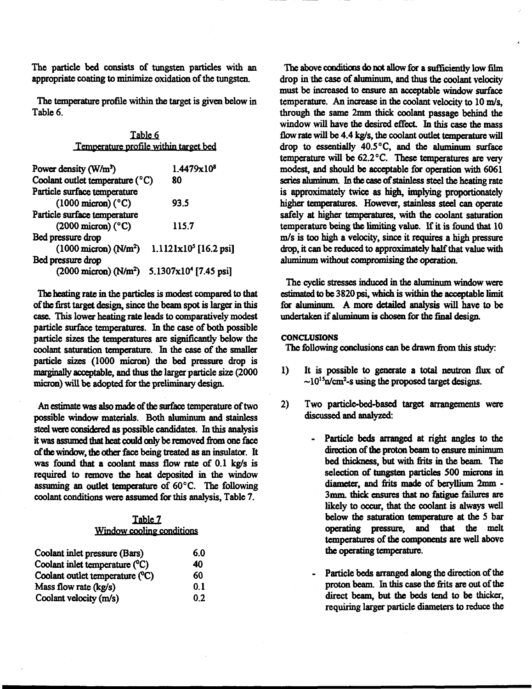**The particle bed consists of tungsten particles with an appropriate coating to minimize oxidation of the tungsten.** 

**The temperature profile within the target is given below in Table 6.** 

| Table 6                                     |                                   |  |  |
|---------------------------------------------|-----------------------------------|--|--|
| Temperature profile within target bed       |                                   |  |  |
| Power density (W/m <sup>3</sup> )           | 1.4479x10 <sup>8</sup>            |  |  |
| Coolant outlet temperature (°C)             | 80                                |  |  |
| Particle surface temperature                |                                   |  |  |
| $(1000 \text{ micron})$ (°C)                | 93.5                              |  |  |
| Particle surface temperature                |                                   |  |  |
| $(2000 \text{ micron})$ (°C)                | 115.7                             |  |  |
| Bed pressure drop                           |                                   |  |  |
| $(1000 \text{ micron})$ (N/m <sup>2</sup> ) | $1.1121 \times 10^5$ [16.2 psi]   |  |  |
| Bed pressure drop                           |                                   |  |  |
| $(2000 \text{ micron})$ (N/m <sup>2</sup> ) | 5.1307x10 <sup>4</sup> [7.45 psi] |  |  |

**The heating rate in the particles is modest compared to that ofthc first target design, since the beam spot is larger in this case. This lower heating rate leads to comparatively modest particle surface temperatures. In the case of both possible particle sizes the temperatures are significantly below the coolant saturation temperature. In the case of the smaller particle sizes (1000 micron) the bed pressure drop is marginally acceptable, and thus the larger particle size (2000 micron) will be adopted for the preliminary design.** 

**An estimate was also made of the surface temperature of two possible window materials. Both aluminum and stainless steel were considered as possible candidates. In this analysis**  it was assumed that heat could only be removed from one face **of the window, the other face being treated as an insulator. It was found that a coolant mass flow rate of 0.1 kg/s is required to remove the heat deposited in the window assuming an outlet temperature of 60°C. The following**  coolant conditions were assumed for this analysis, Table 7.

# **Table 7 Window cooling conditions**

| Coolant inlet pressure (Bars)            | 6.0 |
|------------------------------------------|-----|
| Coolant inlet temperature (°C)           | 40  |
| Coolant outlet temperature $(^{\circ}C)$ | 60  |
| Mass flow rate $(kg/s)$                  | 0.1 |
| Coolant velocity (m/s)                   | 0.2 |

**The above conditions do not allow for a sufficiently low film drop in the case of aluminum, and thus the coolant velocity must be increased to ensure an acceptable window surface temperature. An increase in the coolant velocity to 10 m/s, through the same 2mm thick coolant passage behind the**  window will have the desired effect. In this case the mass **flow rate will be 4.4 kg/s, the coolant outlet temperature will drop to essentially 40.5 °C, and the aluminum surface temperature will be 62.2 °C. These temperatures are very modest, and should be acceptable for operation with 6061**  series aluminum. In the case of stainless steel the heating rate **is approximately twice as high, implying proportionately higher temperatures. However, stainless steel can operate safely at higher temperatures, with the coolant saturation temperature being the limiting value. If it is found that 10 m/s is too high a velocity, since it requires a high pressure drop, it can be reduced to approximately half that value with aluminum without compromising the operation.** 

**The cyclic stresses induced in the aluminum window were estimated to be 3820 psi, which is within the acceptable limit for aluminum. A more detailed analysis will have to be undertaken if aluminum is chosen for the final design.** 

## **CONCLUSIONS**

**The following conclusions can be drawn from this study:** 

- **1) It is possible to generate a total neutron flux of ~1015n/cm<sup>2</sup> -s using the proposed target designs.**
- **2) Two particle-bed-based target arrangements were discussed and analyzed:** 
	- Particle beds arranged at right angles to the **direction of the proton beam to ensure minimum bed thickness, but with frits in the beam. The selection of tungsten particles 500 microns in diameter, and frits made of beryllium 2mm -** 3mm. thick ensures that no fatigue failures are likely to occur, that the coolant is always well **below the saturation temperature at the 5 bar operating pressure, and that the melt temperatures of the components are well above the operating temperature.**
	- **Particle beds arranged along the direction of the proton beam. In this case the frits are out of the direct beam, but the beds tend to be thicker, requiring larger particle diameters to reduce the**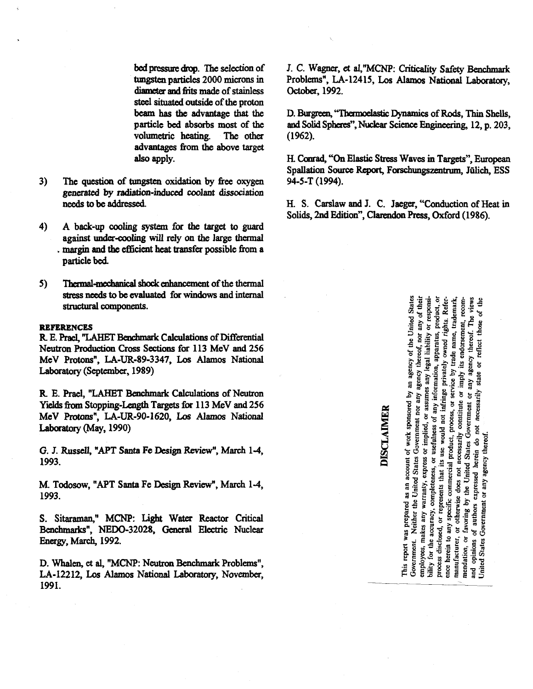**bed pressure drop. The selection of tungsten particles 2000 microns in diameter and frits made of stainless steel situated outside of the proton beam has the advantage that the particle bed absorbs most of the volumetric heating. The other advantages from the above target also apply.** 

- **3) The question of tungsten oxidation by free oxygen generated by radiation-induced coolant dissociation needs to be addressed.**
- **4) A back-up cooling system for the target to guard against under-cooling will rely on the large thermal . margin and the efficient heat transfer possible from a particle bed.**
- **5) Thermal-mechanical shock enhancement of the thermal stress needs to be evaluated for windows and internal structural components.**

#### **REFERENCES**

**R. E. PraeL "LAHET Benchmark Calculations of Differential Neutron Production Cross Sections for 113 MeV and 2S6 MeV Protons", LA-UR-89-3347, Los Alamos National Laboratory (September, 1989)** 

**R. E. PraeL "LAHET Benchmark Calculations of Neutron Yields from Stopping-Length Targets for 113 MeV and 2S6 MeV Protons", LA-UR-90-1620, Los Alamos National Laboratory (May, 1990)** 

**G. J. RusselL "APT Santa Fe Design Review", March 1-4, 1993.** 

**M. Todosow, "APT Santa Fe Design Review", March 1-4, 1993.** 

**S. Sitaraman," MCNP: Light Water Reactor Critical Benchmarks", NEDO-32028, General Electric Nuclear Energy, March, 1992.** 

**D. Whalen, et aL "MCNP: Neutron Benchmark Problems", LA-12212, Los Alamos National Laboratory, November, 1991.** 

**J. C. Wagner, et aL"MCNP: Criticality Safety Benchmark Problems", LA-12415, Los Alamos National Laboratory, October, 1992.** 

**D. Burgreen, "Thermoelastic Dynamics of Rods, Thin Shells, and Solid Spheres", Nuclear Science Engineering, 12, p. 203, (1962).** 

**H. Conrad, "On Elastic Stress Waves in Targets", European Spallation Source Report, Forschungszentrum, Julich, ESS 94-5-T (1994).** 

**H. S. CarslawandJ. C. Jaeger, "Conduction of Heat in Solids, 2nd Edition", Clarendon Press, Oxford (1986).** 

# DISCLAIMER

report was prepared as an account of work sponsored by an agency of the United States<br>triment. Neither the Haired States Government. Neither as an account of work sponsored by an agency of the United States covernment. Neither United States Government nor any agency thereof, nor any of their employees, makes any warmted States Government no process disclosed, or represents that its use would not infringe privately owned rights, product, or ence herein to any specific committat its use would not infringe privately owned rights. Refermantlecturer, or otherwise manufacturer, or otherwise does not necessarily constitute or imply its endorsement, trademark, mendation, or favoring by the United States Government or imply its endorsement, recom-<br>and opinions of authors express united employees, makes any warranty, express or implied, or assumes any legal liability or responsibility for the accuracy completes or implied, or assumes any legal liability or responsiusefulness of any information, apparatus, product, or ಕ reflect those  $\overline{5}$ state and opinions of authors expressed herein do not necessarily<br>
1.4.4.4 Philosophers expressed herein do not necessarily Government or any agency thereof. bility for the accuracy, completeness, or Jnited States  $\overline{\text{This}}$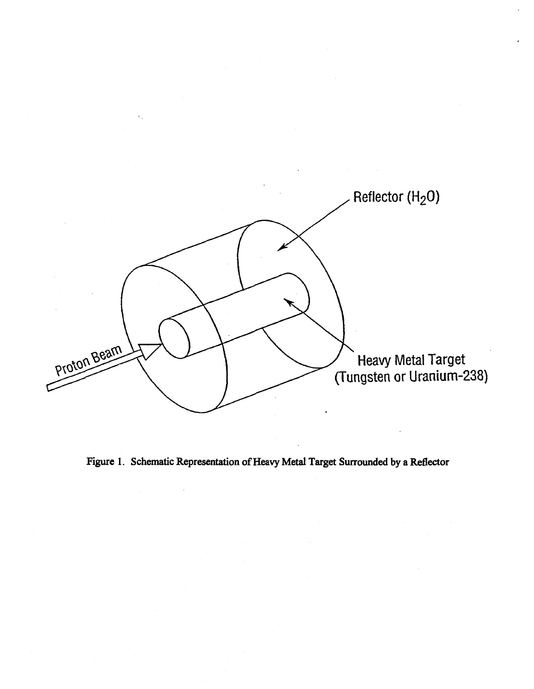

Figure 1. Schematic Representation of Heavy Metal Target Surrounded by a Reflector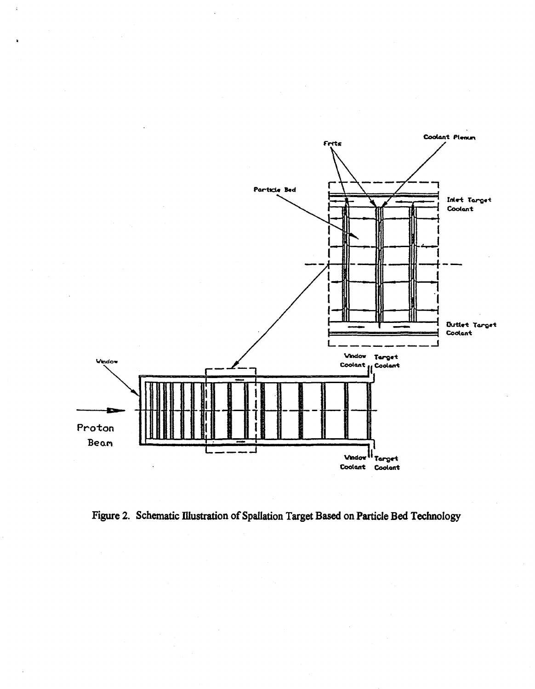

Figure 2. Schematic Illustration of Spallation Target Based on Particle Bed Technology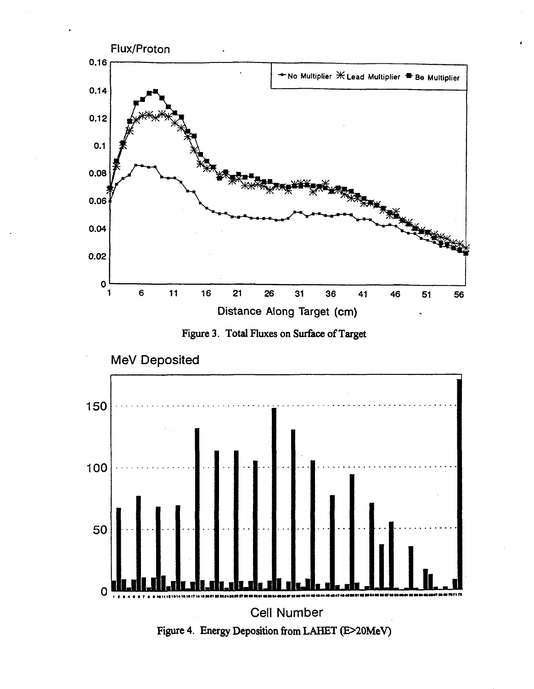



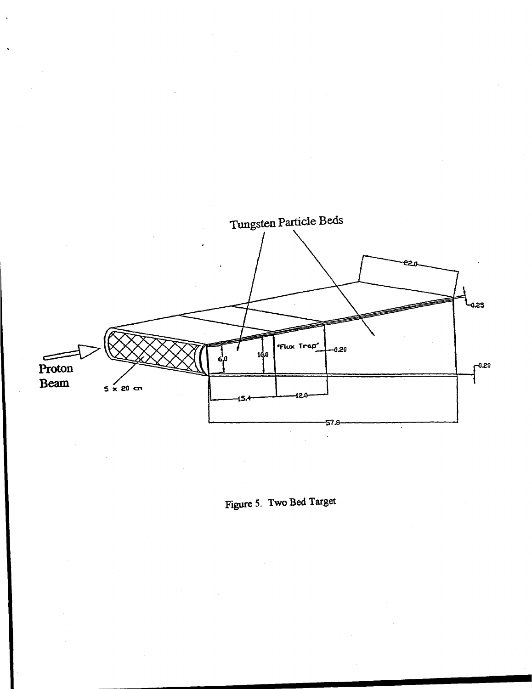

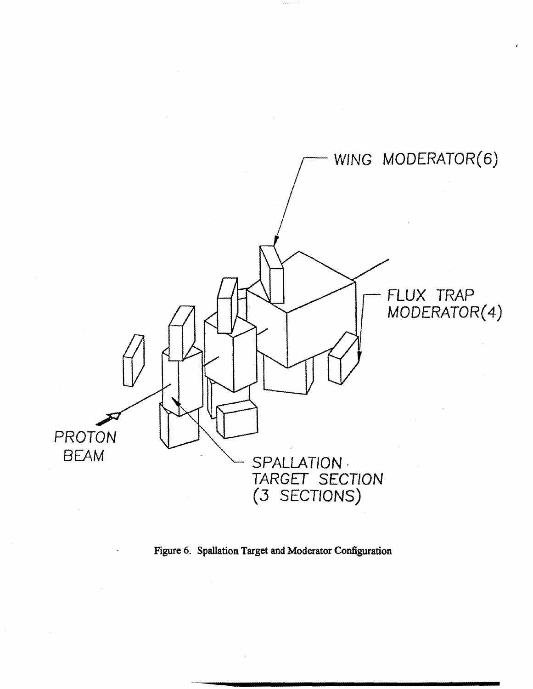

Figure 6. Spallation Target and Moderator Configuration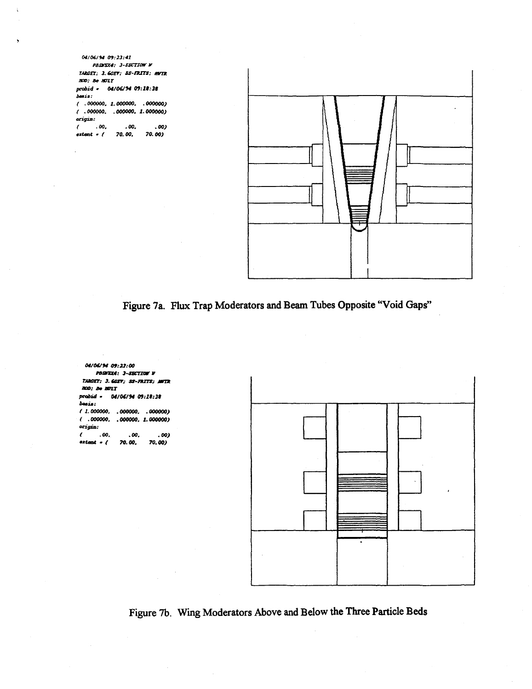*04/06/14 09:23:11 PBSTSX4: J-SBCTZtoT V TAXCET; 3.SCET: SS-OITS: OnX WO: Be WLT pnbid* **»** *04/06/94 09:11:3\$ b\*\*is: ( .000000. 1.000000. . 000000) ( .000000. .000000. 1.000000)*  **orz^zs;**  *( .00. .00. .00) mxtmt* **«** *( 70. 00. 70. 00)* 

 $\pm$ 

*too: Be WIT* 

**tail :** 

*origin;* 



Figure 7a. Flux Trap Moderators and Beam Tubes Opposite "Void Gaps"